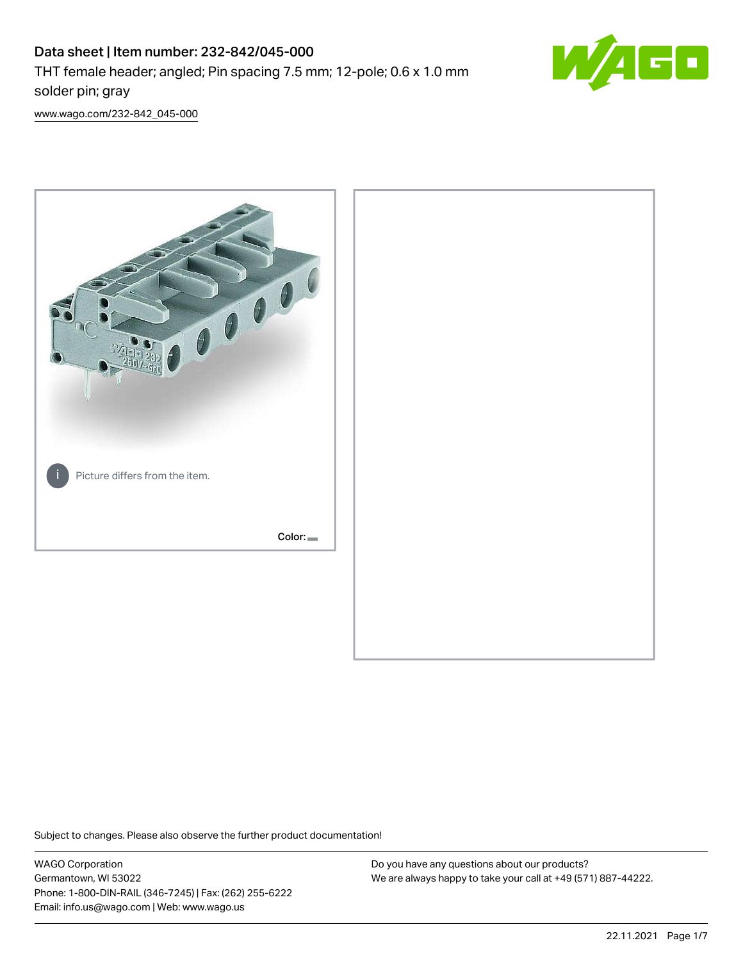# Data sheet | Item number: 232-842/045-000 THT female header; angled; Pin spacing 7.5 mm; 12-pole; 0.6 x 1.0 mm solder pin; gray



[www.wago.com/232-842\\_045-000](http://www.wago.com/232-842_045-000)



Subject to changes. Please also observe the further product documentation!

WAGO Corporation Germantown, WI 53022 Phone: 1-800-DIN-RAIL (346-7245) | Fax: (262) 255-6222 Email: info.us@wago.com | Web: www.wago.us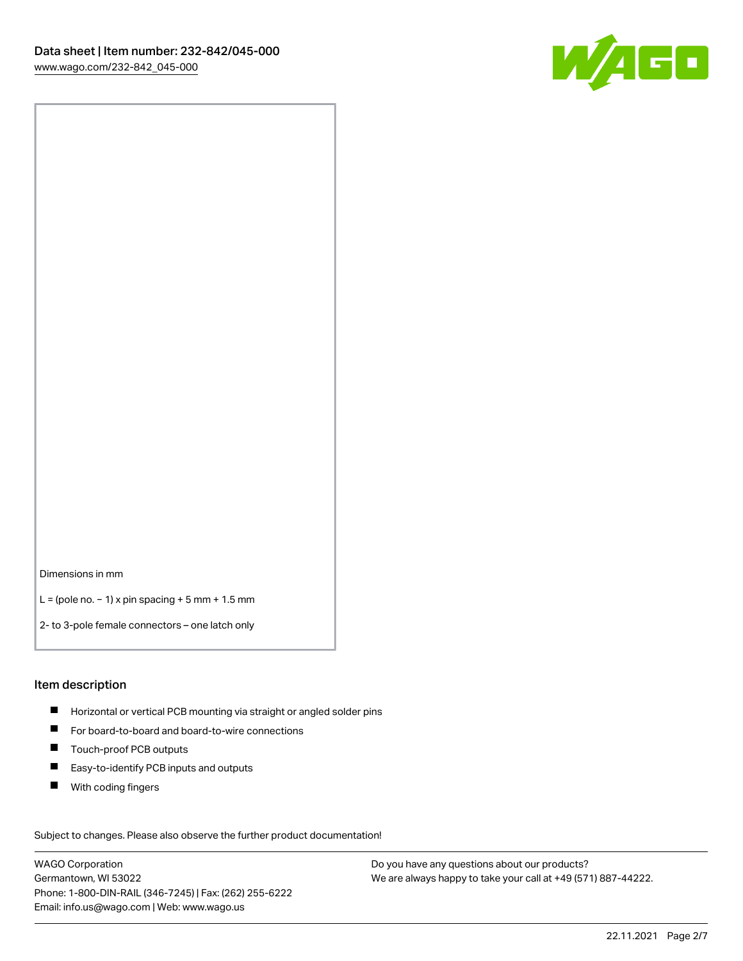

Dimensions in mm

L = (pole no. − 1) x pin spacing + 5 mm + 1.5 mm

2- to 3-pole female connectors – one latch only

#### Item description

- **H** Horizontal or vertical PCB mounting via straight or angled solder pins
- For board-to-board and board-to-wire connections
- Touch-proof PCB outputs  $\blacksquare$
- $\blacksquare$ Easy-to-identify PCB inputs and outputs
- $\blacksquare$ With coding fingers

Subject to changes. Please also observe the further product documentation! Data

WAGO Corporation Germantown, WI 53022 Phone: 1-800-DIN-RAIL (346-7245) | Fax: (262) 255-6222 Email: info.us@wago.com | Web: www.wago.us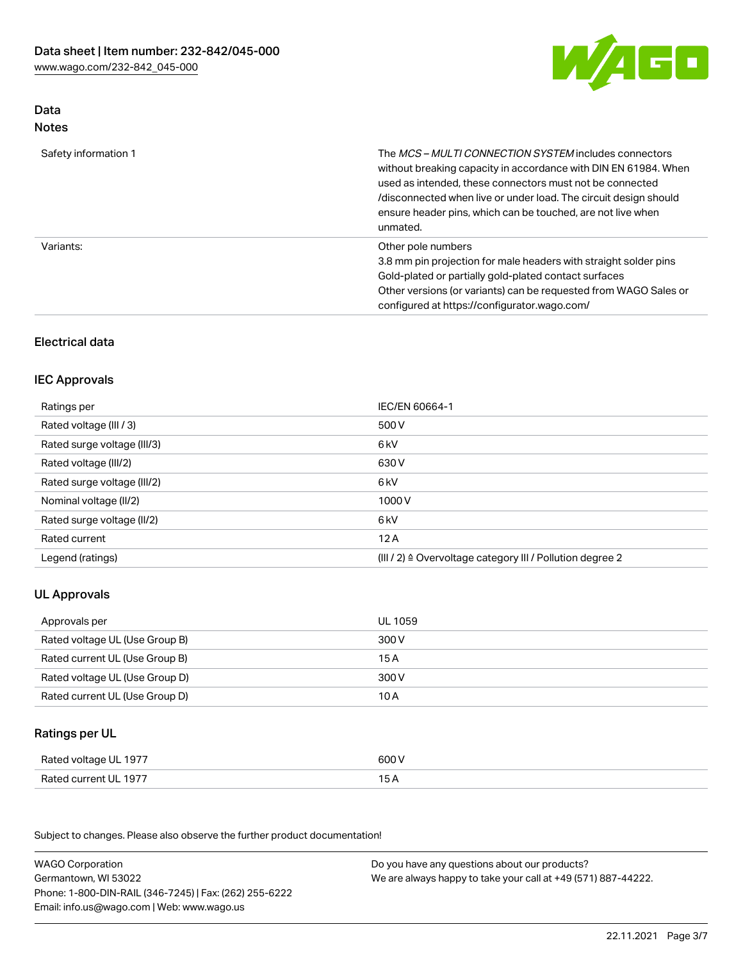W/AGO

# Data Notes

| Safety information 1 | The <i>MCS – MULTI CONNECTION SYSTEM</i> includes connectors<br>without breaking capacity in accordance with DIN EN 61984. When<br>used as intended, these connectors must not be connected<br>/disconnected when live or under load. The circuit design should<br>ensure header pins, which can be touched, are not live when<br>unmated. |
|----------------------|--------------------------------------------------------------------------------------------------------------------------------------------------------------------------------------------------------------------------------------------------------------------------------------------------------------------------------------------|
| Variants:            | Other pole numbers<br>3.8 mm pin projection for male headers with straight solder pins<br>Gold-plated or partially gold-plated contact surfaces<br>Other versions (or variants) can be requested from WAGO Sales or<br>configured at https://configurator.wago.com/                                                                        |

# Electrical data

## IEC Approvals

| Ratings per                 | IEC/EN 60664-1                                                        |
|-----------------------------|-----------------------------------------------------------------------|
| Rated voltage (III / 3)     | 500 V                                                                 |
| Rated surge voltage (III/3) | 6 kV                                                                  |
| Rated voltage (III/2)       | 630 V                                                                 |
| Rated surge voltage (III/2) | 6 kV                                                                  |
| Nominal voltage (II/2)      | 1000 V                                                                |
| Rated surge voltage (II/2)  | 6 kV                                                                  |
| Rated current               | 12A                                                                   |
| Legend (ratings)            | $(III / 2)$ $\triangle$ Overvoltage category III / Pollution degree 2 |

# UL Approvals

| Approvals per                  | UL 1059 |
|--------------------------------|---------|
| Rated voltage UL (Use Group B) | 300 V   |
| Rated current UL (Use Group B) | 15 A    |
| Rated voltage UL (Use Group D) | 300 V   |
| Rated current UL (Use Group D) | 10 A    |

# Ratings per UL

| Rated voltage UL 1977 | 600 V |
|-----------------------|-------|
| Rated current UL 1977 |       |

Subject to changes. Please also observe the further product documentation!

| <b>WAGO Corporation</b>                                | Do you have any questions about our products?                 |
|--------------------------------------------------------|---------------------------------------------------------------|
| Germantown, WI 53022                                   | We are always happy to take your call at +49 (571) 887-44222. |
| Phone: 1-800-DIN-RAIL (346-7245)   Fax: (262) 255-6222 |                                                               |
| Email: info.us@wago.com   Web: www.wago.us             |                                                               |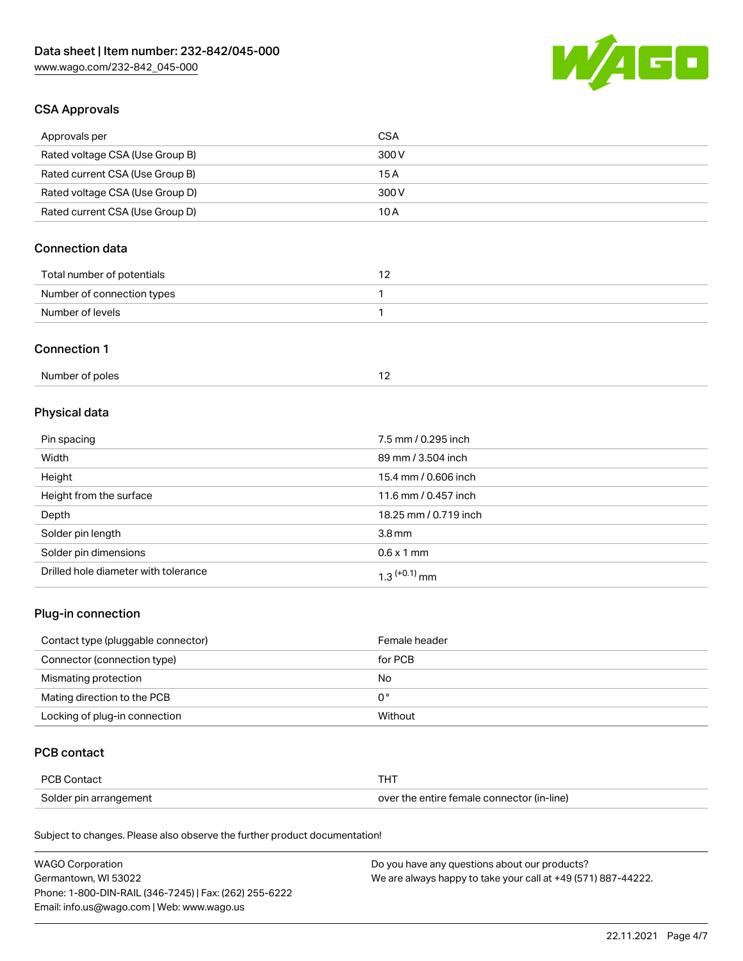

## CSA Approvals

| Approvals per                   | CSA   |
|---------------------------------|-------|
| Rated voltage CSA (Use Group B) | 300 V |
| Rated current CSA (Use Group B) | 15 A  |
| Rated voltage CSA (Use Group D) | 300 V |
| Rated current CSA (Use Group D) | 10 A  |

# Connection data

| Total number of potentials |  |
|----------------------------|--|
| Number of connection types |  |
| Number of levels           |  |

#### Connection 1

| Number of poles |  |
|-----------------|--|
|                 |  |

# Physical data

| Pin spacing                          | 7.5 mm / 0.295 inch   |
|--------------------------------------|-----------------------|
| Width                                | 89 mm / 3.504 inch    |
| Height                               | 15.4 mm / 0.606 inch  |
| Height from the surface              | 11.6 mm / 0.457 inch  |
| Depth                                | 18.25 mm / 0.719 inch |
| Solder pin length                    | 3.8 <sub>mm</sub>     |
| Solder pin dimensions                | $0.6 \times 1$ mm     |
| Drilled hole diameter with tolerance | $1.3$ $(+0.1)$ mm     |

# Plug-in connection

| Contact type (pluggable connector) | Female header |
|------------------------------------|---------------|
| Connector (connection type)        | for PCB       |
| Mismating protection               | No            |
| Mating direction to the PCB        | 0°            |
| Locking of plug-in connection      | Without       |

## PCB contact

| PCB Contact            | THT                                        |
|------------------------|--------------------------------------------|
| Solder pin arrangement | over the entire female connector (in-line) |

Subject to changes. Please also observe the further product documentation!

| <b>WAGO Corporation</b>                                | Do you have any questions about our products?                 |
|--------------------------------------------------------|---------------------------------------------------------------|
| Germantown, WI 53022                                   | We are always happy to take your call at +49 (571) 887-44222. |
| Phone: 1-800-DIN-RAIL (346-7245)   Fax: (262) 255-6222 |                                                               |
| Email: info.us@wago.com   Web: www.wago.us             |                                                               |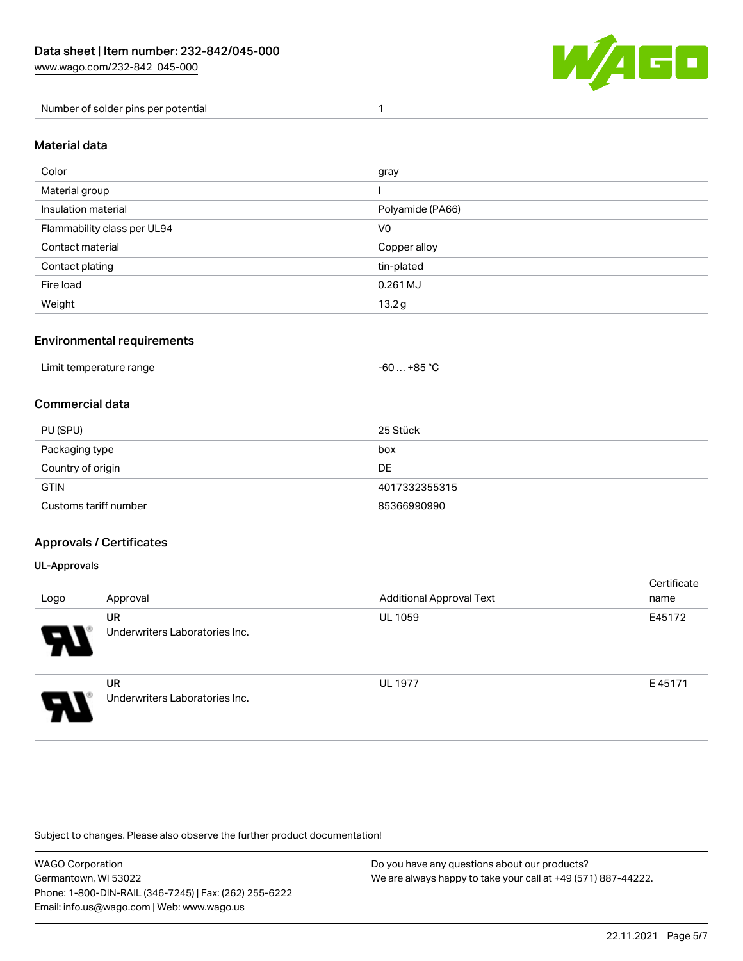

Number of solder pins per potential 1

#### Material data

| Color                       | gray             |
|-----------------------------|------------------|
| Material group              |                  |
| Insulation material         | Polyamide (PA66) |
| Flammability class per UL94 | V <sub>0</sub>   |
| Contact material            | Copper alloy     |
| Contact plating             | tin-plated       |
| Fire load                   | 0.261 MJ         |
| Weight                      | 13.2g            |

## Environmental requirements

| Limit temperature range<br>. | . +85 °ົ<br>cn.<br>-ou |  |
|------------------------------|------------------------|--|
|------------------------------|------------------------|--|

## Commercial data

| PU (SPU)              | 25 Stück      |
|-----------------------|---------------|
| Packaging type        | box           |
| Country of origin     | DE            |
| <b>GTIN</b>           | 4017332355315 |
| Customs tariff number | 85366990990   |

## Approvals / Certificates

#### UL-Approvals

| Logo | Approval                                    | <b>Additional Approval Text</b> | Certificate<br>name |
|------|---------------------------------------------|---------------------------------|---------------------|
| Ъ.   | <b>UR</b><br>Underwriters Laboratories Inc. | <b>UL 1059</b>                  | E45172              |
| o    | <b>UR</b><br>Underwriters Laboratories Inc. | <b>UL 1977</b>                  | E45171              |

Subject to changes. Please also observe the further product documentation!

| WAGO Corporation                                       | Do you have any questions about our products?                 |
|--------------------------------------------------------|---------------------------------------------------------------|
| Germantown, WI 53022                                   | We are always happy to take your call at +49 (571) 887-44222. |
| Phone: 1-800-DIN-RAIL (346-7245)   Fax: (262) 255-6222 |                                                               |
| Email: info.us@wago.com   Web: www.wago.us             |                                                               |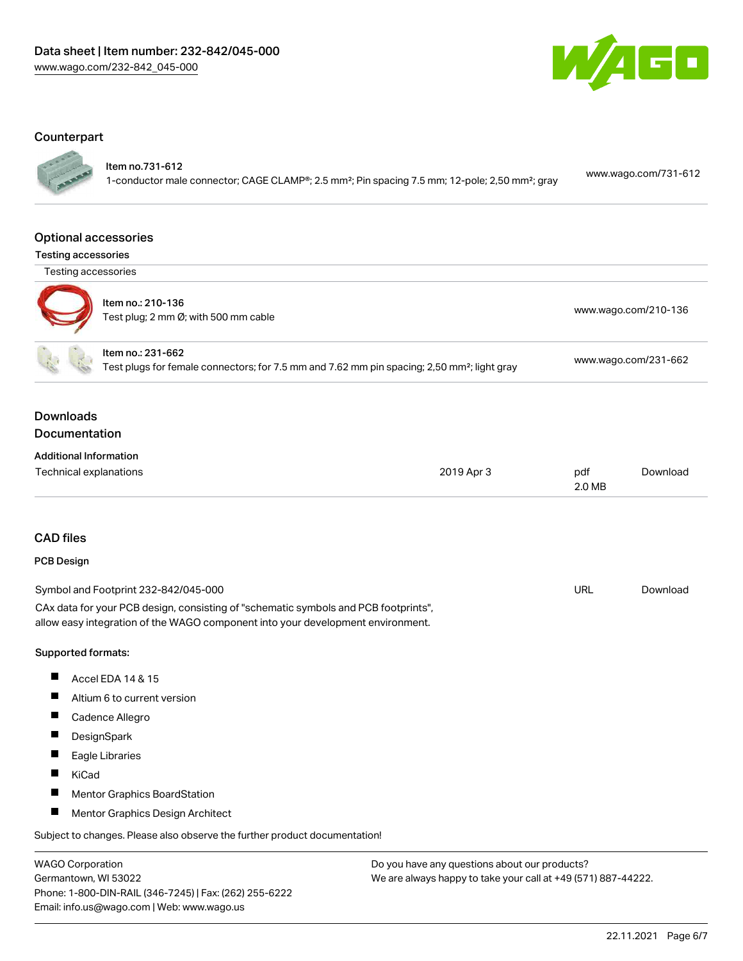

#### **Counterpart**

Item no.731-612

1-conductor male connector; CAGE CLAMP®; 2.5 mm²; Pin spacing 7.5 mm; 12-pole; 2,50 mm²; gray [www.wago.com/731-612](https://www.wago.com/731-612)

#### Optional accessories

Testing accessories



| Item no.: 210-136<br>Test plug; 2 mm Ø; with 500 mm cable | www.wago.com/210-136 |
|-----------------------------------------------------------|----------------------|
| Item no.: 231-662                                         |                      |

Test plugs for female connectors; for 7.5 mm and 7.62 mm pin spacing; 2,50 mm²; light gray [www.wago.com/231-662](http://www.wago.com/231-662)

## Downloads Documentation

| <b>Additional Information</b> |            |        |          |
|-------------------------------|------------|--------|----------|
| Technical explanations        | 2019 Apr 3 | pdf    | Download |
|                               |            | 2.0 MB |          |

## CAD files

## PCB Design

| Symbol and Footprint 232-842/045-000                                                | URL | Download |
|-------------------------------------------------------------------------------------|-----|----------|
| CAx data for your PCB design, consisting of "schematic symbols and PCB footprints", |     |          |
| allow easy integration of the WAGO component into your development environment.     |     |          |

#### Supported formats:

- $\blacksquare$ Accel EDA 14 & 15
- $\blacksquare$ Altium 6 to current version
- Cadence Allegro
- $\blacksquare$ **DesignSpark**
- $\blacksquare$ Eagle Libraries
- $\blacksquare$ KiCad
- $\blacksquare$ Mentor Graphics BoardStation
- $\blacksquare$ Mentor Graphics Design Architect

Subject to changes. Please also observe the further product documentation!

WAGO Corporation Germantown, WI 53022 Phone: 1-800-DIN-RAIL (346-7245) | Fax: (262) 255-6222 Email: info.us@wago.com | Web: www.wago.us